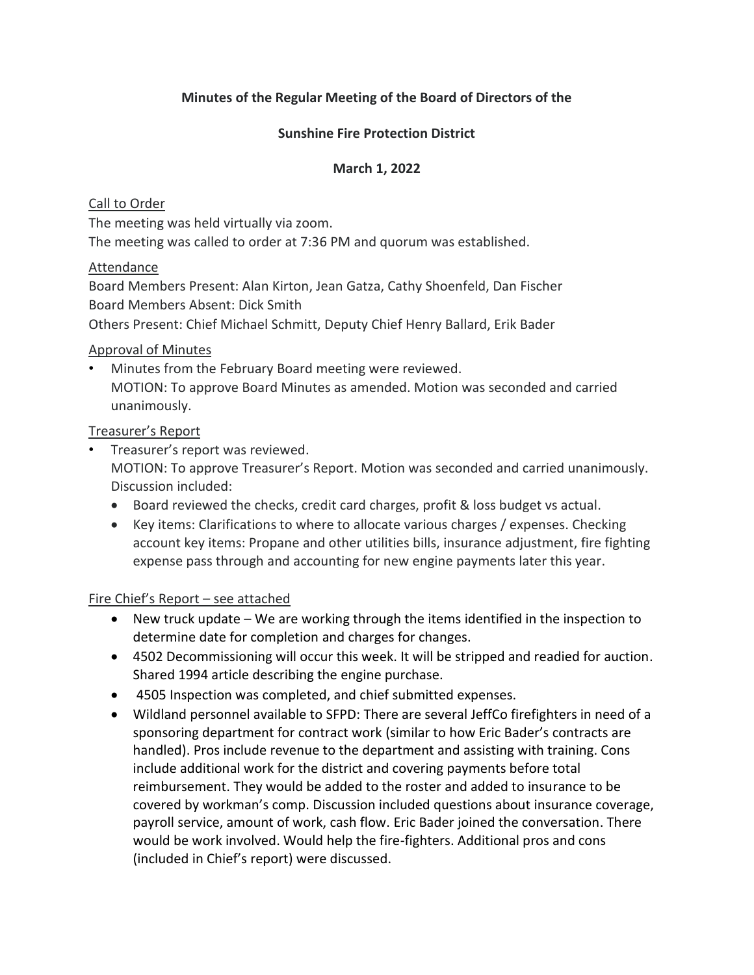### **Minutes of the Regular Meeting of the Board of Directors of the**

### **Sunshine Fire Protection District**

### **March 1, 2022**

### Call to Order

The meeting was held virtually via zoom.

The meeting was called to order at 7:36 PM and quorum was established.

### Attendance

Board Members Present: Alan Kirton, Jean Gatza, Cathy Shoenfeld, Dan Fischer Board Members Absent: Dick Smith

Others Present: Chief Michael Schmitt, Deputy Chief Henry Ballard, Erik Bader

### Approval of Minutes

• Minutes from the February Board meeting were reviewed. MOTION: To approve Board Minutes as amended. Motion was seconded and carried unanimously.

### Treasurer's Report

- Treasurer's report was reviewed. MOTION: To approve Treasurer's Report. Motion was seconded and carried unanimously. Discussion included:
	- Board reviewed the checks, credit card charges, profit & loss budget vs actual.
	- Key items: Clarifications to where to allocate various charges / expenses. Checking account key items: Propane and other utilities bills, insurance adjustment, fire fighting expense pass through and accounting for new engine payments later this year.

### Fire Chief's Report – see attached

- New truck update We are working through the items identified in the inspection to determine date for completion and charges for changes.
- 4502 Decommissioning will occur this week. It will be stripped and readied for auction. Shared 1994 article describing the engine purchase.
- 4505 Inspection was completed, and chief submitted expenses.
- Wildland personnel available to SFPD: There are several JeffCo firefighters in need of a sponsoring department for contract work (similar to how Eric Bader's contracts are handled). Pros include revenue to the department and assisting with training. Cons include additional work for the district and covering payments before total reimbursement. They would be added to the roster and added to insurance to be covered by workman's comp. Discussion included questions about insurance coverage, payroll service, amount of work, cash flow. Eric Bader joined the conversation. There would be work involved. Would help the fire-fighters. Additional pros and cons (included in Chief's report) were discussed.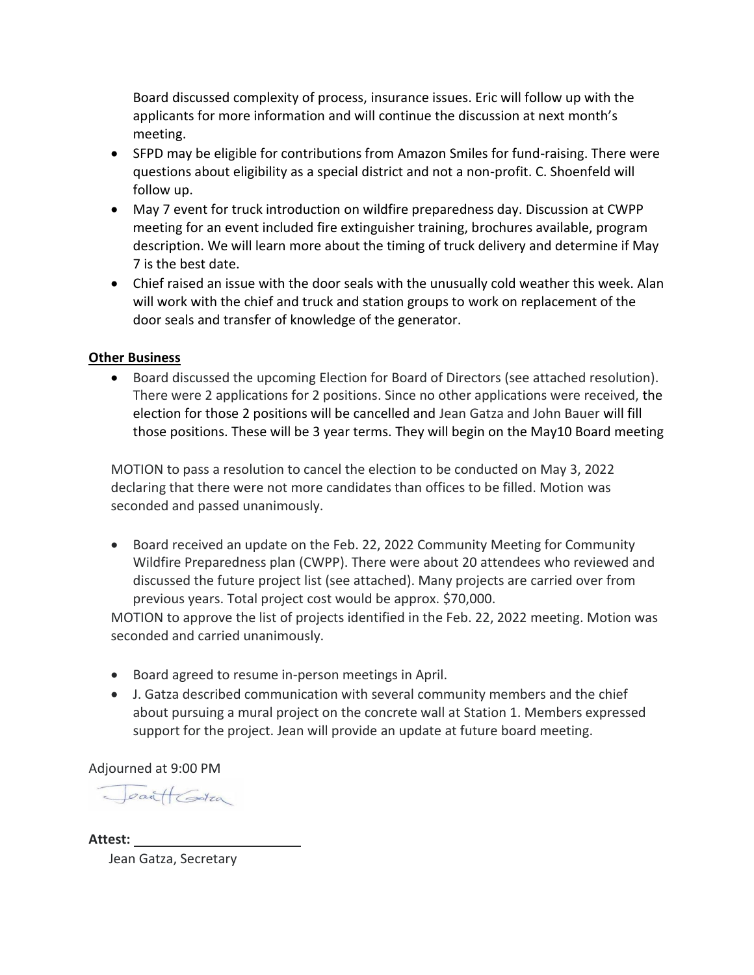Board discussed complexity of process, insurance issues. Eric will follow up with the applicants for more information and will continue the discussion at next month's meeting.

- SFPD may be eligible for contributions from Amazon Smiles for fund-raising. There were questions about eligibility as a special district and not a non-profit. C. Shoenfeld will follow up.
- May 7 event for truck introduction on wildfire preparedness day. Discussion at CWPP meeting for an event included fire extinguisher training, brochures available, program description. We will learn more about the timing of truck delivery and determine if May 7 is the best date.
- Chief raised an issue with the door seals with the unusually cold weather this week. Alan will work with the chief and truck and station groups to work on replacement of the door seals and transfer of knowledge of the generator.

### **Other Business**

• Board discussed the upcoming Election for Board of Directors (see attached resolution). There were 2 applications for 2 positions. Since no other applications were received, the election for those 2 positions will be cancelled and Jean Gatza and John Bauer will fill those positions. These will be 3 year terms. They will begin on the May10 Board meeting

MOTION to pass a resolution to cancel the election to be conducted on May 3, 2022 declaring that there were not more candidates than offices to be filled. Motion was seconded and passed unanimously.

• Board received an update on the Feb. 22, 2022 Community Meeting for Community Wildfire Preparedness plan (CWPP). There were about 20 attendees who reviewed and discussed the future project list (see attached). Many projects are carried over from previous years. Total project cost would be approx. \$70,000.

MOTION to approve the list of projects identified in the Feb. 22, 2022 meeting. Motion was seconded and carried unanimously.

- Board agreed to resume in-person meetings in April.
- J. Gatza described communication with several community members and the chief about pursuing a mural project on the concrete wall at Station 1. Members expressed support for the project. Jean will provide an update at future board meeting.

Adjourned at 9:00 PM

Jean (Gatia

**Attest:** 

Jean Gatza, Secretary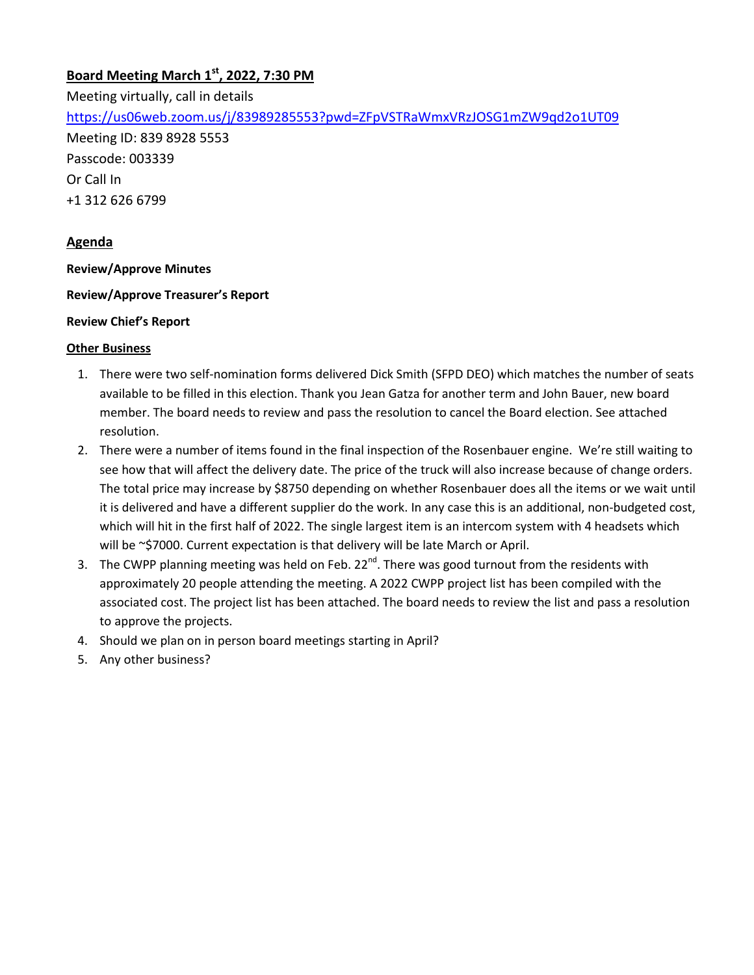# **Board Meeting March 1st, 2022, 7:30 PM**

Meeting virtually, call in details <https://us06web.zoom.us/j/83989285553?pwd=ZFpVSTRaWmxVRzJOSG1mZW9qd2o1UT09> Meeting ID: 839 8928 5553 Passcode: 003339 Or Call In +1 312 626 6799

### **Agenda**

**Review/Approve Minutes**

#### **Review/Approve Treasurer's Report**

#### **Review Chief's Report**

#### **Other Business**

- 1. There were two self-nomination forms delivered Dick Smith (SFPD DEO) which matches the number of seats available to be filled in this election. Thank you Jean Gatza for another term and John Bauer, new board member. The board needs to review and pass the resolution to cancel the Board election. See attached resolution.
- 2. There were a number of items found in the final inspection of the Rosenbauer engine. We're still waiting to see how that will affect the delivery date. The price of the truck will also increase because of change orders. The total price may increase by \$8750 depending on whether Rosenbauer does all the items or we wait until it is delivered and have a different supplier do the work. In any case this is an additional, non-budgeted cost, which will hit in the first half of 2022. The single largest item is an intercom system with 4 headsets which will be ~\$7000. Current expectation is that delivery will be late March or April.
- 3. The CWPP planning meeting was held on Feb.  $22^{nd}$ . There was good turnout from the residents with approximately 20 people attending the meeting. A 2022 CWPP project list has been compiled with the associated cost. The project list has been attached. The board needs to review the list and pass a resolution to approve the projects.
- 4. Should we plan on in person board meetings starting in April?
- 5. Any other business?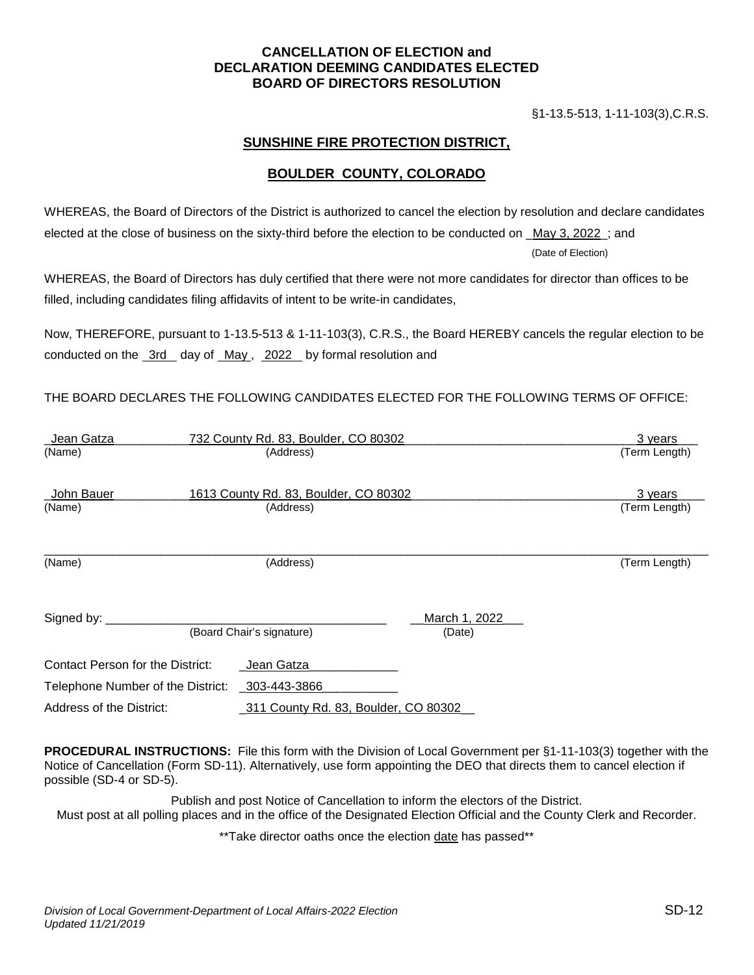#### **CANCELLATION OF ELECTION and DECLARATION DEEMING CANDIDATES ELECTED BOARD OF DIRECTORS RESOLUTION**

§1-13.5-513, 1-11-103(3),C.R.S.

#### **SUNSHINE FIRE PROTECTION DISTRICT,**

#### **BOULDER COUNTY, COLORADO**

WHEREAS, the Board of Directors of the District is authorized to cancel the election by resolution and declare candidates elected at the close of business on the sixty-third before the election to be conducted on \_May 3, 2022\_; and

(Date of Election)

WHEREAS, the Board of Directors has duly certified that there were not more candidates for director than offices to be filled, including candidates filing affidavits of intent to be write-in candidates,

Now, THEREFORE, pursuant to 1-13.5-513 & 1-11-103(3), C.R.S., the Board HEREBY cancels the regular election to be conducted on the 3rd day of May, 2022 by formal resolution and

#### THE BOARD DECLARES THE FOLLOWING CANDIDATES ELECTED FOR THE FOLLOWING TERMS OF OFFICE:

| _Jean Gatza                       |  | 732 County Rd. 83, Boulder, CO 80302  |                         | 3 years       |  |
|-----------------------------------|--|---------------------------------------|-------------------------|---------------|--|
| (Name)                            |  | (Address)                             |                         | (Term Length) |  |
| John Bauer                        |  | 1613 County Rd. 83, Boulder, CO 80302 |                         | 3 years       |  |
| (Name)                            |  | (Address)                             |                         | (Term Length) |  |
| (Name)                            |  | (Address)                             |                         | (Term Length) |  |
| Signed by:                        |  | (Board Chair's signature)             | March 1, 2022<br>(Date) |               |  |
| Contact Person for the District:  |  | Jean Gatza                            |                         |               |  |
| Telephone Number of the District: |  | 303-443-3866                          |                         |               |  |
| Address of the District:          |  | _311 County Rd. 83, Boulder, CO 80302 |                         |               |  |

**PROCEDURAL INSTRUCTIONS:** File this form with the Division of Local Government per §1-11-103(3) together with the Notice of Cancellation (Form SD-11). Alternatively, use form appointing the DEO that directs them to cancel election if possible (SD-4 or SD-5).

Publish and post Notice of Cancellation to inform the electors of the District. Must post at all polling places and in the office of the Designated Election Official and the County Clerk and Recorder.

\*\*Take director oaths once the election date has passed\*\*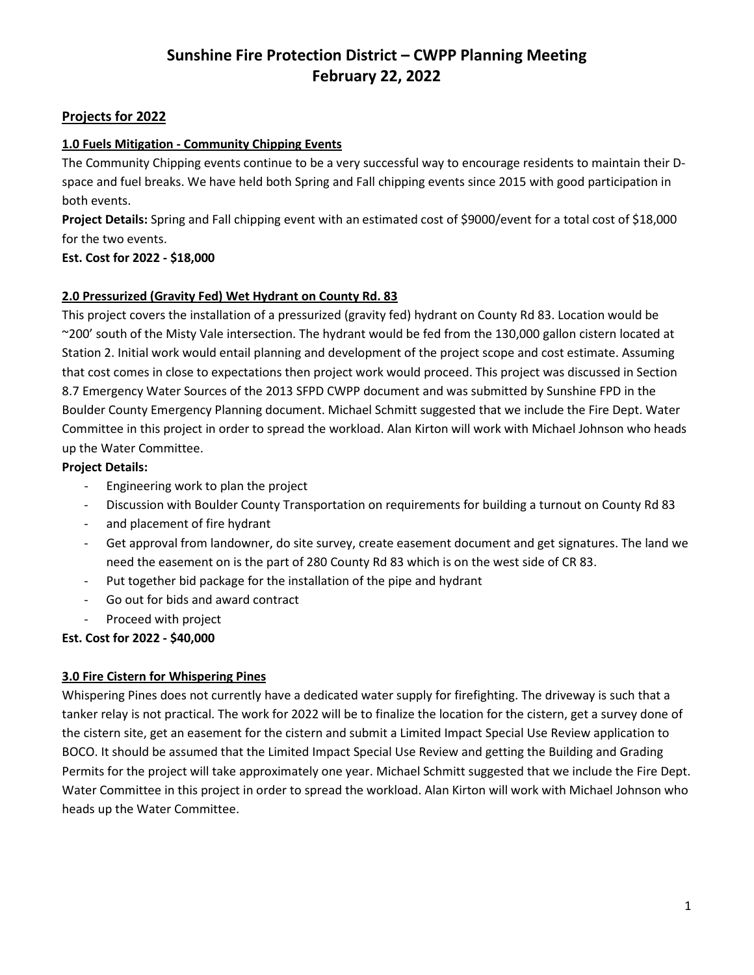#### **Projects for 2022**

#### **1.0 Fuels Mitigation - Community Chipping Events**

The Community Chipping events continue to be a very successful way to encourage residents to maintain their Dspace and fuel breaks. We have held both Spring and Fall chipping events since 2015 with good participation in both events.

**Project Details:** Spring and Fall chipping event with an estimated cost of \$9000/event for a total cost of \$18,000 for the two events.

#### **Est. Cost for 2022 - \$18,000**

#### **2.0 Pressurized (Gravity Fed) Wet Hydrant on County Rd. 83**

This project covers the installation of a pressurized (gravity fed) hydrant on County Rd 83. Location would be ~200' south of the Misty Vale intersection. The hydrant would be fed from the 130,000 gallon cistern located at Station 2. Initial work would entail planning and development of the project scope and cost estimate. Assuming that cost comes in close to expectations then project work would proceed. This project was discussed in Section 8.7 Emergency Water Sources of the 2013 SFPD CWPP document and was submitted by Sunshine FPD in the Boulder County Emergency Planning document. Michael Schmitt suggested that we include the Fire Dept. Water Committee in this project in order to spread the workload. Alan Kirton will work with Michael Johnson who heads up the Water Committee.

#### **Project Details:**

- Engineering work to plan the project
- Discussion with Boulder County Transportation on requirements for building a turnout on County Rd 83
- and placement of fire hydrant
- Get approval from landowner, do site survey, create easement document and get signatures. The land we need the easement on is the part of 280 County Rd 83 which is on the west side of CR 83.
- Put together bid package for the installation of the pipe and hydrant
- Go out for bids and award contract
- Proceed with project

### **Est. Cost for 2022 - \$40,000**

#### **3.0 Fire Cistern for Whispering Pines**

Whispering Pines does not currently have a dedicated water supply for firefighting. The driveway is such that a tanker relay is not practical. The work for 2022 will be to finalize the location for the cistern, get a survey done of the cistern site, get an easement for the cistern and submit a Limited Impact Special Use Review application to BOCO. It should be assumed that the Limited Impact Special Use Review and getting the Building and Grading Permits for the project will take approximately one year. Michael Schmitt suggested that we include the Fire Dept. Water Committee in this project in order to spread the workload. Alan Kirton will work with Michael Johnson who heads up the Water Committee.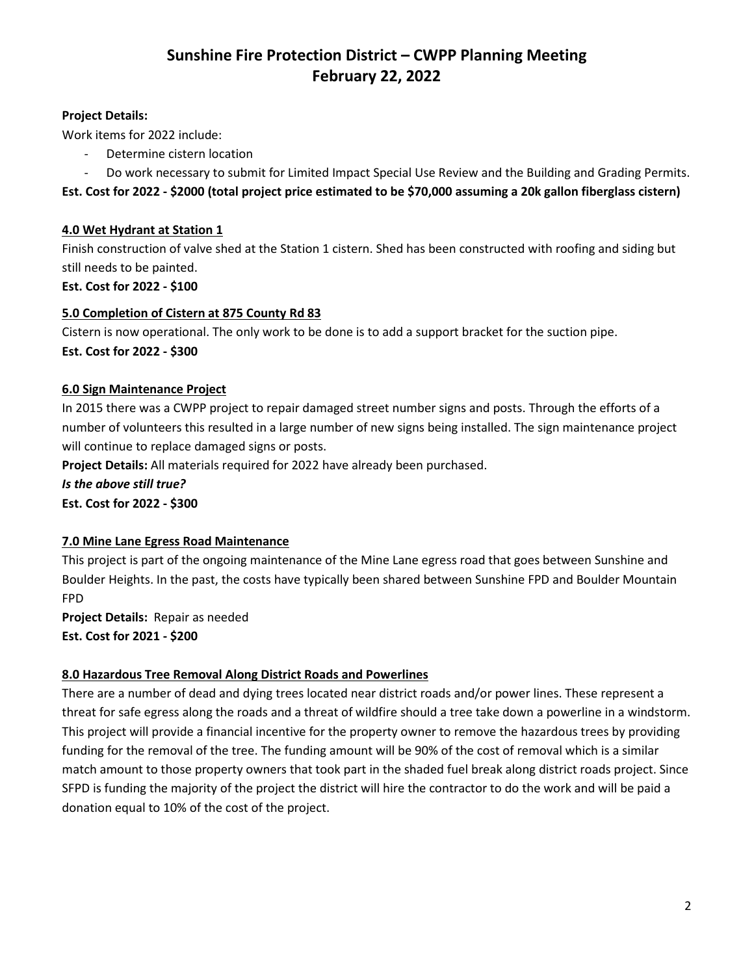#### **Project Details:**

Work items for 2022 include:

- Determine cistern location
- Do work necessary to submit for Limited Impact Special Use Review and the Building and Grading Permits.
- **Est. Cost for 2022 - \$2000 (total project price estimated to be \$70,000 assuming a 20k gallon fiberglass cistern)**

#### **4.0 Wet Hydrant at Station 1**

Finish construction of valve shed at the Station 1 cistern. Shed has been constructed with roofing and siding but still needs to be painted.

**Est. Cost for 2022 - \$100**

#### **5.0 Completion of Cistern at 875 County Rd 83**

Cistern is now operational. The only work to be done is to add a support bracket for the suction pipe. **Est. Cost for 2022 - \$300**

#### **6.0 Sign Maintenance Project**

In 2015 there was a CWPP project to repair damaged street number signs and posts. Through the efforts of a number of volunteers this resulted in a large number of new signs being installed. The sign maintenance project will continue to replace damaged signs or posts.

**Project Details:** All materials required for 2022 have already been purchased.

*Is the above still true?*

**Est. Cost for 2022 - \$300**

### **7.0 Mine Lane Egress Road Maintenance**

This project is part of the ongoing maintenance of the Mine Lane egress road that goes between Sunshine and Boulder Heights. In the past, the costs have typically been shared between Sunshine FPD and Boulder Mountain FPD

**Project Details:** Repair as needed

**Est. Cost for 2021 - \$200**

### **8.0 Hazardous Tree Removal Along District Roads and Powerlines**

There are a number of dead and dying trees located near district roads and/or power lines. These represent a threat for safe egress along the roads and a threat of wildfire should a tree take down a powerline in a windstorm. This project will provide a financial incentive for the property owner to remove the hazardous trees by providing funding for the removal of the tree. The funding amount will be 90% of the cost of removal which is a similar match amount to those property owners that took part in the shaded fuel break along district roads project. Since SFPD is funding the majority of the project the district will hire the contractor to do the work and will be paid a donation equal to 10% of the cost of the project.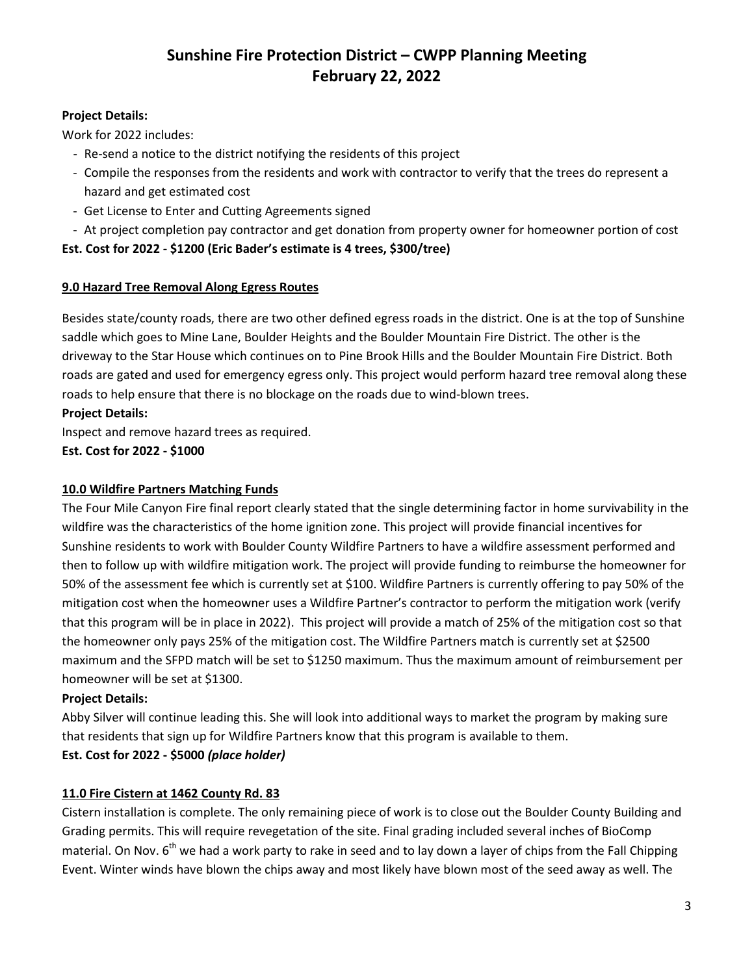#### **Project Details:**

Work for 2022 includes:

- Re-send a notice to the district notifying the residents of this project
- Compile the responses from the residents and work with contractor to verify that the trees do represent a hazard and get estimated cost
- Get License to Enter and Cutting Agreements signed
- At project completion pay contractor and get donation from property owner for homeowner portion of cost

#### **Est. Cost for 2022 - \$1200 (Eric Bader's estimate is 4 trees, \$300/tree)**

#### **9.0 Hazard Tree Removal Along Egress Routes**

Besides state/county roads, there are two other defined egress roads in the district. One is at the top of Sunshine saddle which goes to Mine Lane, Boulder Heights and the Boulder Mountain Fire District. The other is the driveway to the Star House which continues on to Pine Brook Hills and the Boulder Mountain Fire District. Both roads are gated and used for emergency egress only. This project would perform hazard tree removal along these roads to help ensure that there is no blockage on the roads due to wind-blown trees.

#### **Project Details:**

Inspect and remove hazard trees as required.

#### **Est. Cost for 2022 - \$1000**

#### **10.0 Wildfire Partners Matching Funds**

The Four Mile Canyon Fire final report clearly stated that the single determining factor in home survivability in the wildfire was the characteristics of the home ignition zone. This project will provide financial incentives for Sunshine residents to work with Boulder County Wildfire Partners to have a wildfire assessment performed and then to follow up with wildfire mitigation work. The project will provide funding to reimburse the homeowner for 50% of the assessment fee which is currently set at \$100. Wildfire Partners is currently offering to pay 50% of the mitigation cost when the homeowner uses a Wildfire Partner's contractor to perform the mitigation work (verify that this program will be in place in 2022). This project will provide a match of 25% of the mitigation cost so that the homeowner only pays 25% of the mitigation cost. The Wildfire Partners match is currently set at \$2500 maximum and the SFPD match will be set to \$1250 maximum. Thus the maximum amount of reimbursement per homeowner will be set at \$1300.

#### **Project Details:**

Abby Silver will continue leading this. She will look into additional ways to market the program by making sure that residents that sign up for Wildfire Partners know that this program is available to them.

### **Est. Cost for 2022 - \$5000** *(place holder)*

### **11.0 Fire Cistern at 1462 County Rd. 83**

Cistern installation is complete. The only remaining piece of work is to close out the Boulder County Building and Grading permits. This will require revegetation of the site. Final grading included several inches of BioComp material. On Nov.  $6<sup>th</sup>$  we had a work party to rake in seed and to lay down a layer of chips from the Fall Chipping Event. Winter winds have blown the chips away and most likely have blown most of the seed away as well. The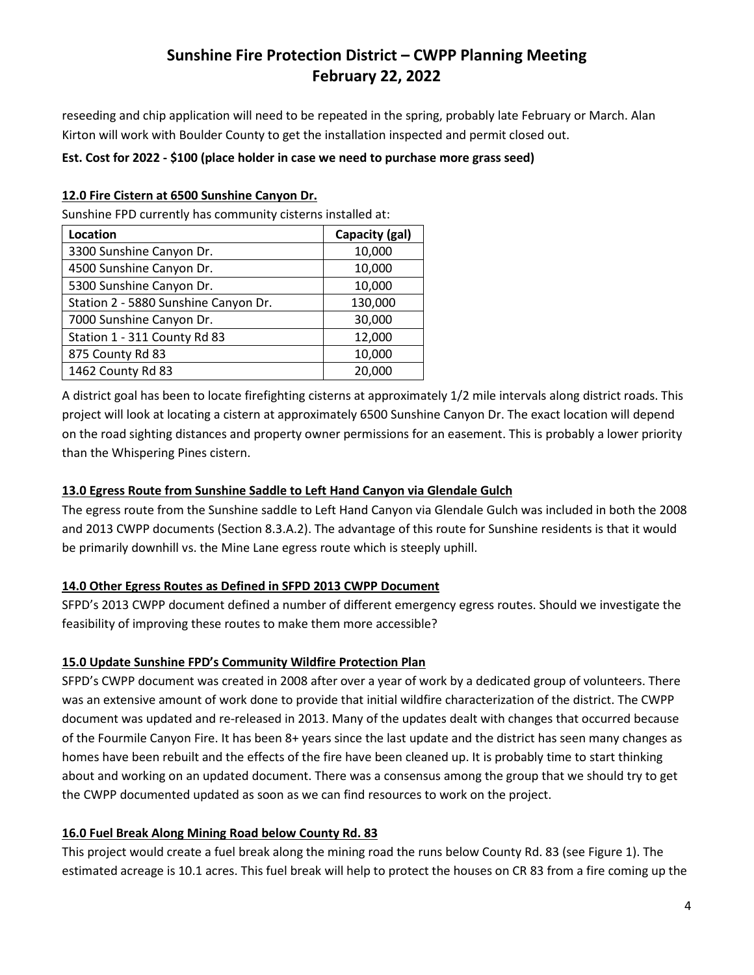reseeding and chip application will need to be repeated in the spring, probably late February or March. Alan Kirton will work with Boulder County to get the installation inspected and permit closed out.

#### **Est. Cost for 2022 - \$100 (place holder in case we need to purchase more grass seed)**

#### **12.0 Fire Cistern at 6500 Sunshine Canyon Dr.**

Sunshine FPD currently has community cisterns installed at:

| Location                             | Capacity (gal) |  |
|--------------------------------------|----------------|--|
| 3300 Sunshine Canyon Dr.             | 10,000         |  |
| 4500 Sunshine Canyon Dr.             | 10,000         |  |
| 5300 Sunshine Canyon Dr.             | 10,000         |  |
| Station 2 - 5880 Sunshine Canyon Dr. | 130,000        |  |
| 7000 Sunshine Canyon Dr.             | 30,000         |  |
| Station 1 - 311 County Rd 83         | 12,000         |  |
| 875 County Rd 83                     | 10,000         |  |
| 1462 County Rd 83                    | 20,000         |  |

A district goal has been to locate firefighting cisterns at approximately 1/2 mile intervals along district roads. This project will look at locating a cistern at approximately 6500 Sunshine Canyon Dr. The exact location will depend on the road sighting distances and property owner permissions for an easement. This is probably a lower priority than the Whispering Pines cistern.

#### **13.0 Egress Route from Sunshine Saddle to Left Hand Canyon via Glendale Gulch**

The egress route from the Sunshine saddle to Left Hand Canyon via Glendale Gulch was included in both the 2008 and 2013 CWPP documents (Section 8.3.A.2). The advantage of this route for Sunshine residents is that it would be primarily downhill vs. the Mine Lane egress route which is steeply uphill.

#### **14.0 Other Egress Routes as Defined in SFPD 2013 CWPP Document**

SFPD's 2013 CWPP document defined a number of different emergency egress routes. Should we investigate the feasibility of improving these routes to make them more accessible?

#### **15.0 Update Sunshine FPD's Community Wildfire Protection Plan**

SFPD's CWPP document was created in 2008 after over a year of work by a dedicated group of volunteers. There was an extensive amount of work done to provide that initial wildfire characterization of the district. The CWPP document was updated and re-released in 2013. Many of the updates dealt with changes that occurred because of the Fourmile Canyon Fire. It has been 8+ years since the last update and the district has seen many changes as homes have been rebuilt and the effects of the fire have been cleaned up. It is probably time to start thinking about and working on an updated document. There was a consensus among the group that we should try to get the CWPP documented updated as soon as we can find resources to work on the project.

#### **16.0 Fuel Break Along Mining Road below County Rd. 83**

This project would create a fuel break along the mining road the runs below County Rd. 83 (see Figure 1). The estimated acreage is 10.1 acres. This fuel break will help to protect the houses on CR 83 from a fire coming up the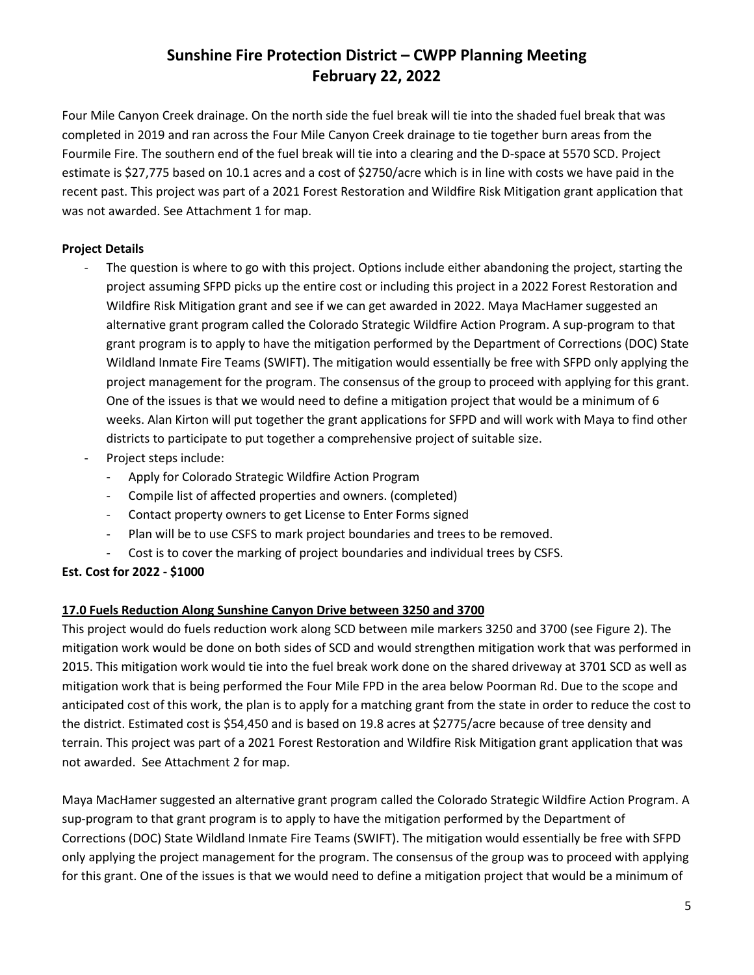Four Mile Canyon Creek drainage. On the north side the fuel break will tie into the shaded fuel break that was completed in 2019 and ran across the Four Mile Canyon Creek drainage to tie together burn areas from the Fourmile Fire. The southern end of the fuel break will tie into a clearing and the D-space at 5570 SCD. Project estimate is \$27,775 based on 10.1 acres and a cost of \$2750/acre which is in line with costs we have paid in the recent past. This project was part of a 2021 Forest Restoration and Wildfire Risk Mitigation grant application that was not awarded. See Attachment 1 for map.

#### **Project Details**

- The question is where to go with this project. Options include either abandoning the project, starting the project assuming SFPD picks up the entire cost or including this project in a 2022 Forest Restoration and Wildfire Risk Mitigation grant and see if we can get awarded in 2022. Maya MacHamer suggested an alternative grant program called the Colorado Strategic Wildfire Action Program. A sup-program to that grant program is to apply to have the mitigation performed by the Department of Corrections (DOC) State Wildland Inmate Fire Teams (SWIFT). The mitigation would essentially be free with SFPD only applying the project management for the program. The consensus of the group to proceed with applying for this grant. One of the issues is that we would need to define a mitigation project that would be a minimum of 6 weeks. Alan Kirton will put together the grant applications for SFPD and will work with Maya to find other districts to participate to put together a comprehensive project of suitable size.
- Project steps include:
	- Apply for Colorado Strategic Wildfire Action Program
	- Compile list of affected properties and owners. (completed)
	- Contact property owners to get License to Enter Forms signed
	- Plan will be to use CSFS to mark project boundaries and trees to be removed.
	- Cost is to cover the marking of project boundaries and individual trees by CSFS.

#### **Est. Cost for 2022 - \$1000**

#### **17.0 Fuels Reduction Along Sunshine Canyon Drive between 3250 and 3700**

This project would do fuels reduction work along SCD between mile markers 3250 and 3700 (see Figure 2). The mitigation work would be done on both sides of SCD and would strengthen mitigation work that was performed in 2015. This mitigation work would tie into the fuel break work done on the shared driveway at 3701 SCD as well as mitigation work that is being performed the Four Mile FPD in the area below Poorman Rd. Due to the scope and anticipated cost of this work, the plan is to apply for a matching grant from the state in order to reduce the cost to the district. Estimated cost is \$54,450 and is based on 19.8 acres at \$2775/acre because of tree density and terrain. This project was part of a 2021 Forest Restoration and Wildfire Risk Mitigation grant application that was not awarded. See Attachment 2 for map.

Maya MacHamer suggested an alternative grant program called the Colorado Strategic Wildfire Action Program. A sup-program to that grant program is to apply to have the mitigation performed by the Department of Corrections (DOC) State Wildland Inmate Fire Teams (SWIFT). The mitigation would essentially be free with SFPD only applying the project management for the program. The consensus of the group was to proceed with applying for this grant. One of the issues is that we would need to define a mitigation project that would be a minimum of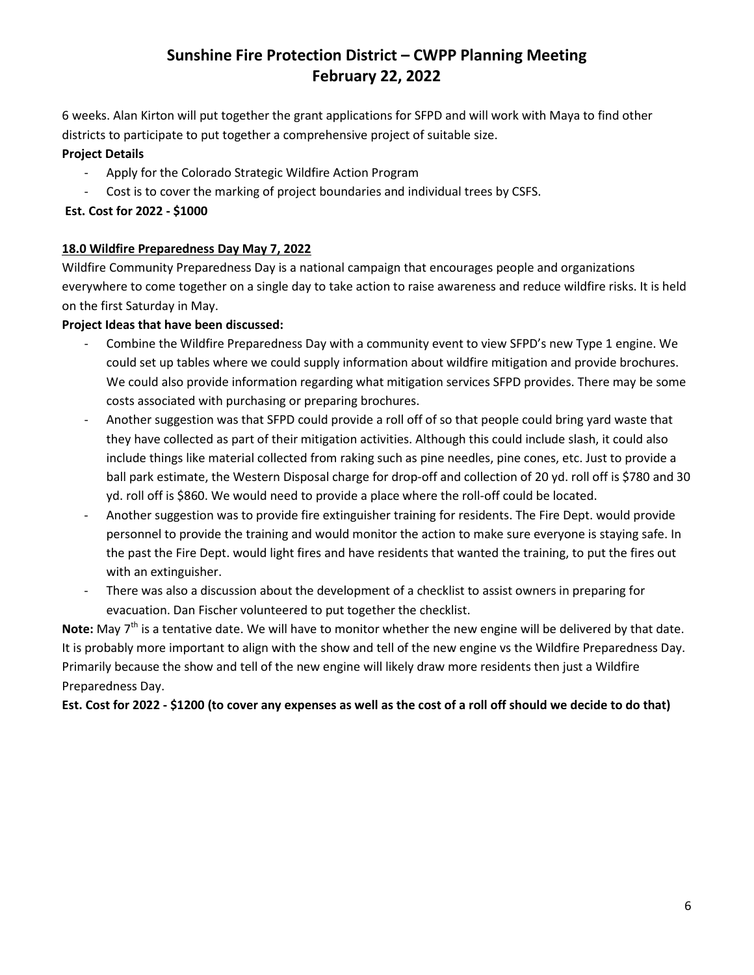6 weeks. Alan Kirton will put together the grant applications for SFPD and will work with Maya to find other districts to participate to put together a comprehensive project of suitable size.

#### **Project Details**

- Apply for the Colorado Strategic Wildfire Action Program
- Cost is to cover the marking of project boundaries and individual trees by CSFS.

#### **Est. Cost for 2022 - \$1000**

#### **18.0 Wildfire Preparedness Day May 7, 2022**

Wildfire Community Preparedness Day is a national campaign that encourages people and organizations everywhere to come together on a single day to take action to raise awareness and reduce wildfire risks. It is held on the first Saturday in May.

#### **Project Ideas that have been discussed:**

- Combine the Wildfire Preparedness Day with a community event to view SFPD's new Type 1 engine. We could set up tables where we could supply information about wildfire mitigation and provide brochures. We could also provide information regarding what mitigation services SFPD provides. There may be some costs associated with purchasing or preparing brochures.
- Another suggestion was that SFPD could provide a roll off of so that people could bring yard waste that they have collected as part of their mitigation activities. Although this could include slash, it could also include things like material collected from raking such as pine needles, pine cones, etc. Just to provide a ball park estimate, the Western Disposal charge for drop-off and collection of 20 yd. roll off is \$780 and 30 yd. roll off is \$860. We would need to provide a place where the roll-off could be located.
- Another suggestion was to provide fire extinguisher training for residents. The Fire Dept. would provide personnel to provide the training and would monitor the action to make sure everyone is staying safe. In the past the Fire Dept. would light fires and have residents that wanted the training, to put the fires out with an extinguisher.
- There was also a discussion about the development of a checklist to assist owners in preparing for evacuation. Dan Fischer volunteered to put together the checklist.

Note: May 7<sup>th</sup> is a tentative date. We will have to monitor whether the new engine will be delivered by that date. It is probably more important to align with the show and tell of the new engine vs the Wildfire Preparedness Day. Primarily because the show and tell of the new engine will likely draw more residents then just a Wildfire Preparedness Day.

**Est. Cost for 2022 - \$1200 (to cover any expenses as well as the cost of a roll off should we decide to do that)**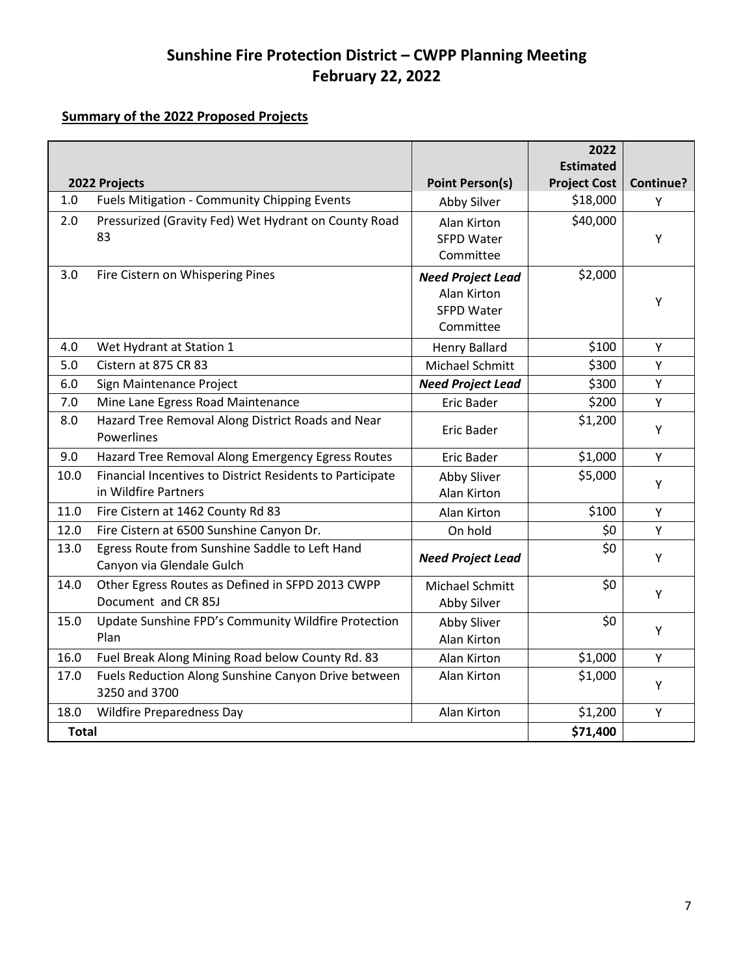### **Summary of the 2022 Proposed Projects**

|               |                                                           |                          | 2022                |           |
|---------------|-----------------------------------------------------------|--------------------------|---------------------|-----------|
|               |                                                           |                          | <b>Estimated</b>    |           |
| 2022 Projects |                                                           | <b>Point Person(s)</b>   | <b>Project Cost</b> | Continue? |
| 1.0           | Fuels Mitigation - Community Chipping Events              | Abby Silver              | \$18,000            | Υ         |
| 2.0           | Pressurized (Gravity Fed) Wet Hydrant on County Road      | Alan Kirton              | \$40,000            |           |
|               | 83                                                        | <b>SFPD Water</b>        |                     | Y         |
|               |                                                           | Committee                |                     |           |
| 3.0           | Fire Cistern on Whispering Pines                          | <b>Need Project Lead</b> | \$2,000             |           |
|               |                                                           | Alan Kirton              |                     | Y         |
|               |                                                           | <b>SFPD Water</b>        |                     |           |
|               |                                                           | Committee                |                     |           |
| 4.0           | Wet Hydrant at Station 1                                  | <b>Henry Ballard</b>     | \$100               | Y         |
| 5.0           | Cistern at 875 CR 83                                      | Michael Schmitt          | \$300               | Y         |
| 6.0           | Sign Maintenance Project                                  | <b>Need Project Lead</b> | \$300               | Υ         |
| 7.0           | Mine Lane Egress Road Maintenance                         | <b>Eric Bader</b>        | \$200               | Y         |
| 8.0           | Hazard Tree Removal Along District Roads and Near         | <b>Eric Bader</b>        | \$1,200             | Y         |
|               | Powerlines                                                |                          |                     |           |
| 9.0           | Hazard Tree Removal Along Emergency Egress Routes         | <b>Eric Bader</b>        | \$1,000             | Y         |
| 10.0          | Financial Incentives to District Residents to Participate | Abby Sliver              | \$5,000             |           |
|               | in Wildfire Partners                                      | Alan Kirton              |                     | Υ         |
| 11.0          | Fire Cistern at 1462 County Rd 83                         | Alan Kirton              | \$100               | Y         |
| 12.0          | Fire Cistern at 6500 Sunshine Canyon Dr.                  | On hold                  | \$0                 | Y         |
| 13.0          | Egress Route from Sunshine Saddle to Left Hand            | <b>Need Project Lead</b> | \$0                 | Y         |
|               | Canyon via Glendale Gulch                                 |                          |                     |           |
| 14.0          | Other Egress Routes as Defined in SFPD 2013 CWPP          | Michael Schmitt          | \$0                 | Υ         |
|               | Document and CR 85J                                       | Abby Silver              |                     |           |
| 15.0          | Update Sunshine FPD's Community Wildfire Protection       | Abby Sliver              | \$0                 | Y         |
|               | Plan                                                      | Alan Kirton              |                     |           |
| 16.0          | Fuel Break Along Mining Road below County Rd. 83          | Alan Kirton              | \$1,000             | Y         |
| 17.0          | Fuels Reduction Along Sunshine Canyon Drive between       | Alan Kirton              | \$1,000             | Y         |
|               | 3250 and 3700                                             |                          |                     |           |
| 18.0          | <b>Wildfire Preparedness Day</b>                          | Alan Kirton              | \$1,200             | Y         |
| <b>Total</b>  |                                                           |                          | \$71,400            |           |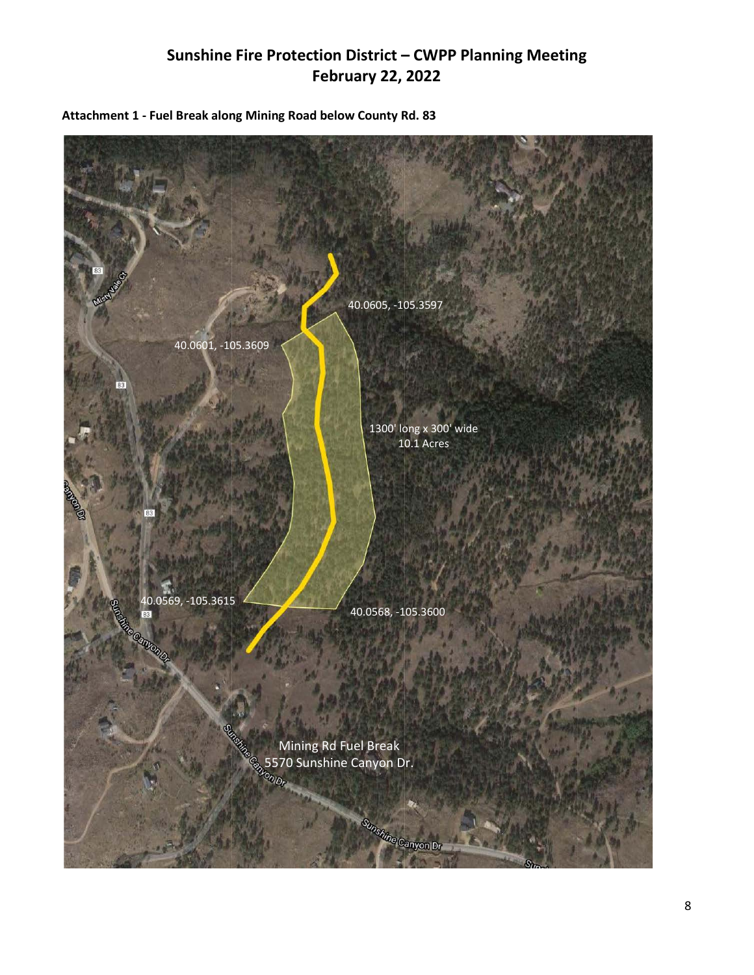

**Attachment 1 - Fuel Break along Mining Road below County Rd. 83**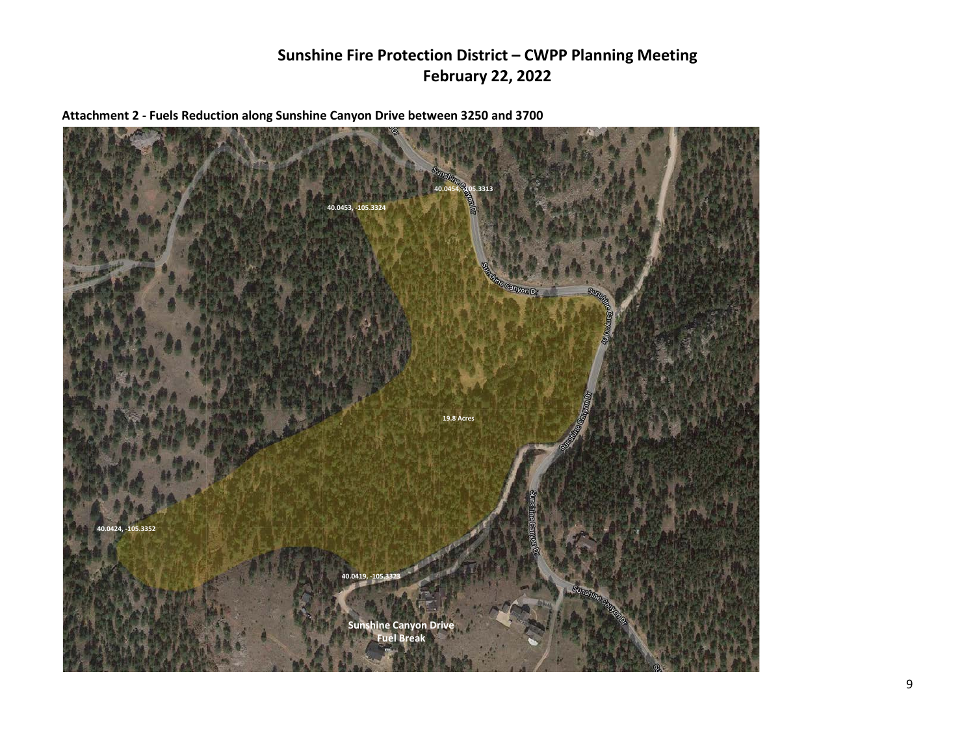**Attachment 2 - Fuels Reduction along Sunshine Canyon Drive between 3250 and 3700**

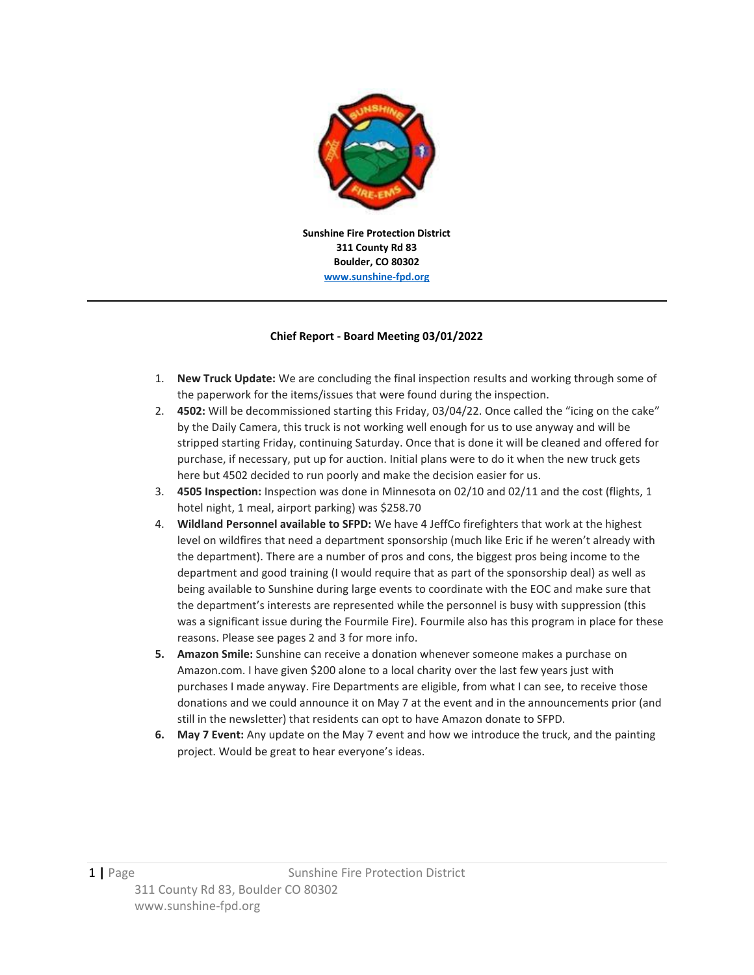

**311 County Rd 83 Boulder, CO 80302 [www.sunshine-fpd.org](http://www.sunshine-fpd.org/)**

#### **Chief Report - Board Meeting 03/01/2022**

- 1. **New Truck Update:** We are concluding the final inspection results and working through some of the paperwork for the items/issues that were found during the inspection.
- 2. **4502:** Will be decommissioned starting this Friday, 03/04/22. Once called the "icing on the cake" by the Daily Camera, this truck is not working well enough for us to use anyway and will be stripped starting Friday, continuing Saturday. Once that is done it will be cleaned and offered for purchase, if necessary, put up for auction. Initial plans were to do it when the new truck gets here but 4502 decided to run poorly and make the decision easier for us.
- 3. **4505 Inspection:** Inspection was done in Minnesota on 02/10 and 02/11 and the cost (flights, 1 hotel night, 1 meal, airport parking) was \$258.70
- 4. **Wildland Personnel available to SFPD:** We have 4 JeffCo firefighters that work at the highest level on wildfires that need a department sponsorship (much like Eric if he weren't already with the department). There are a number of pros and cons, the biggest pros being income to the department and good training (I would require that as part of the sponsorship deal) as well as being available to Sunshine during large events to coordinate with the EOC and make sure that the department's interests are represented while the personnel is busy with suppression (this was a significant issue during the Fourmile Fire). Fourmile also has this program in place for these reasons. Please see pages 2 and 3 for more info.
- **5. Amazon Smile:** Sunshine can receive a donation whenever someone makes a purchase on Amazon.com. I have given \$200 alone to a local charity over the last few years just with purchases I made anyway. Fire Departments are eligible, from what I can see, to receive those donations and we could announce it on May 7 at the event and in the announcements prior (and still in the newsletter) that residents can opt to have Amazon donate to SFPD.
- **6. May 7 Event:** Any update on the May 7 event and how we introduce the truck, and the painting project. Would be great to hear everyone's ideas.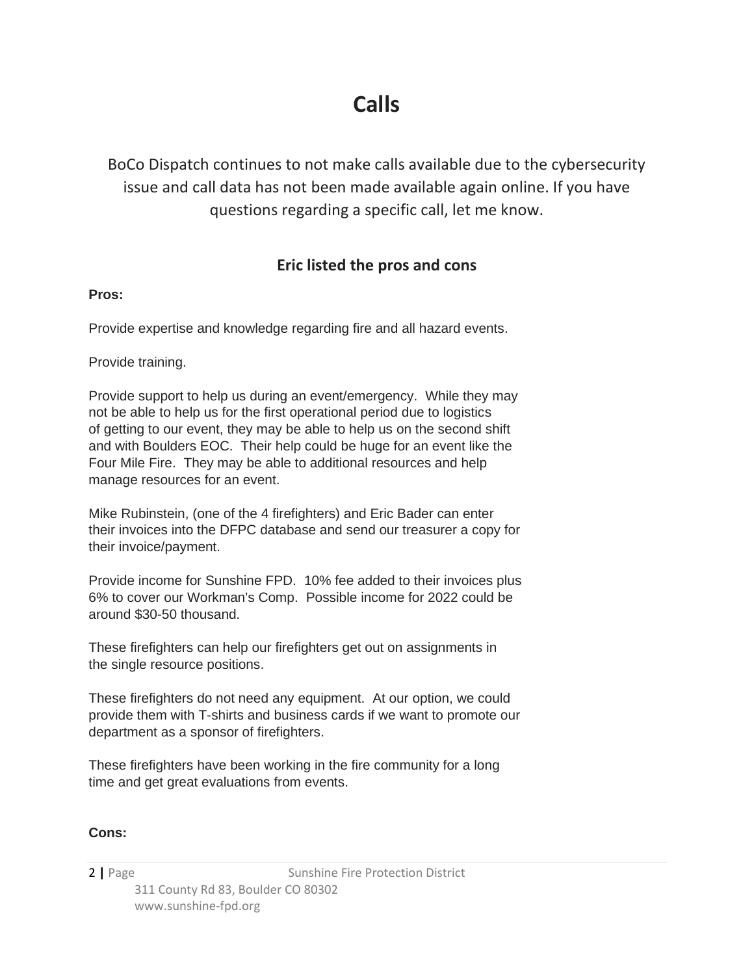# **Calls**

BoCo Dispatch continues to not make calls available due to the cybersecurity issue and call data has not been made available again online. If you have questions regarding a specific call, let me know.

### **Eric listed the pros and cons**

#### **Pros:**

Provide expertise and knowledge regarding fire and all hazard events.

Provide training.

Provide support to help us during an event/emergency. While they may not be able to help us for the first operational period due to logistics of getting to our event, they may be able to help us on the second shift and with Boulders EOC. Their help could be huge for an event like the Four Mile Fire. They may be able to additional resources and help manage resources for an event.

Mike Rubinstein, (one of the 4 firefighters) and Eric Bader can enter their invoices into the DFPC database and send our treasurer a copy for their invoice/payment.

Provide income for Sunshine FPD. 10% fee added to their invoices plus 6% to cover our Workman's Comp. Possible income for 2022 could be around \$30-50 thousand.

These firefighters can help our firefighters get out on assignments in the single resource positions.

These firefighters do not need any equipment. At our option, we could provide them with T-shirts and business cards if we want to promote our department as a sponsor of firefighters.

These firefighters have been working in the fire community for a long time and get great evaluations from events.

### **Cons:**